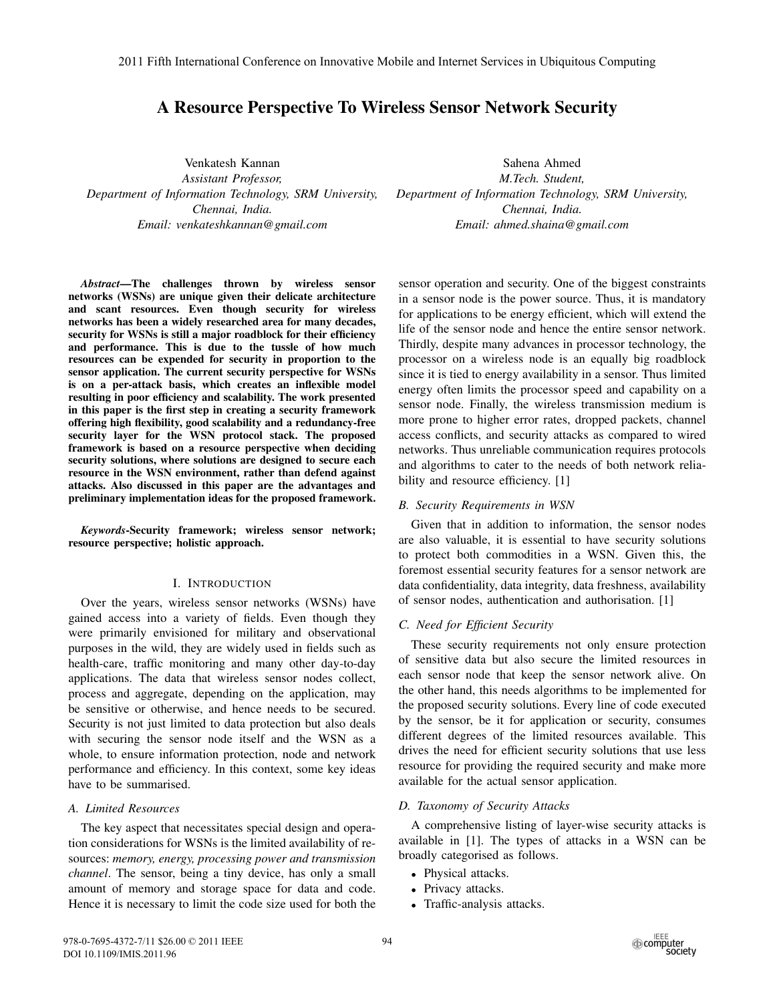# A Resource Perspective To Wireless Sensor Network Security

Venkatesh Kannan *Assistant Professor, Department of Information Technology, SRM University, Chennai, India. Email: venkateshkannan@gmail.com*

*Abstract*—The challenges thrown by wireless sensor networks (WSNs) are unique given their delicate architecture and scant resources. Even though security for wireless networks has been a widely researched area for many decades, security for WSNs is still a major roadblock for their efficiency and performance. This is due to the tussle of how much resources can be expended for security in proportion to the sensor application. The current security perspective for WSNs is on a per-attack basis, which creates an inflexible model resulting in poor efficiency and scalability. The work presented in this paper is the first step in creating a security framework offering high flexibility, good scalability and a redundancy-free security layer for the WSN protocol stack. The proposed framework is based on a resource perspective when deciding security solutions, where solutions are designed to secure each resource in the WSN environment, rather than defend against attacks. Also discussed in this paper are the advantages and preliminary implementation ideas for the proposed framework.

*Keywords*-Security framework; wireless sensor network; resource perspective; holistic approach.

#### I. INTRODUCTION

Over the years, wireless sensor networks (WSNs) have gained access into a variety of fields. Even though they were primarily envisioned for military and observational purposes in the wild, they are widely used in fields such as health-care, traffic monitoring and many other day-to-day applications. The data that wireless sensor nodes collect, process and aggregate, depending on the application, may be sensitive or otherwise, and hence needs to be secured. Security is not just limited to data protection but also deals with securing the sensor node itself and the WSN as a whole, to ensure information protection, node and network performance and efficiency. In this context, some key ideas have to be summarised.

### *A. Limited Resources*

The key aspect that necessitates special design and operation considerations for WSNs is the limited availability of resources: *memory, energy, processing power and transmission channel*. The sensor, being a tiny device, has only a small amount of memory and storage space for data and code. Hence it is necessary to limit the code size used for both the

Sahena Ahmed *M.Tech. Student, Department of Information Technology, SRM University, Chennai, India. Email: ahmed.shaina@gmail.com*

sensor operation and security. One of the biggest constraints in a sensor node is the power source. Thus, it is mandatory for applications to be energy efficient, which will extend the life of the sensor node and hence the entire sensor network. Thirdly, despite many advances in processor technology, the processor on a wireless node is an equally big roadblock since it is tied to energy availability in a sensor. Thus limited energy often limits the processor speed and capability on a sensor node. Finally, the wireless transmission medium is more prone to higher error rates, dropped packets, channel access conflicts, and security attacks as compared to wired networks. Thus unreliable communication requires protocols and algorithms to cater to the needs of both network reliability and resource efficiency. [1]

#### *B. Security Requirements in WSN*

Given that in addition to information, the sensor nodes are also valuable, it is essential to have security solutions to protect both commodities in a WSN. Given this, the foremost essential security features for a sensor network are data confidentiality, data integrity, data freshness, availability of sensor nodes, authentication and authorisation. [1]

## *C. Need for Efficient Security*

These security requirements not only ensure protection of sensitive data but also secure the limited resources in each sensor node that keep the sensor network alive. On the other hand, this needs algorithms to be implemented for the proposed security solutions. Every line of code executed by the sensor, be it for application or security, consumes different degrees of the limited resources available. This drives the need for efficient security solutions that use less resource for providing the required security and make more available for the actual sensor application.

#### *D. Taxonomy of Security Attacks*

A comprehensive listing of layer-wise security attacks is available in [1]. The types of attacks in a WSN can be broadly categorised as follows.

- Physical attacks.
- Privacy attacks.
- Traffic-analysis attacks.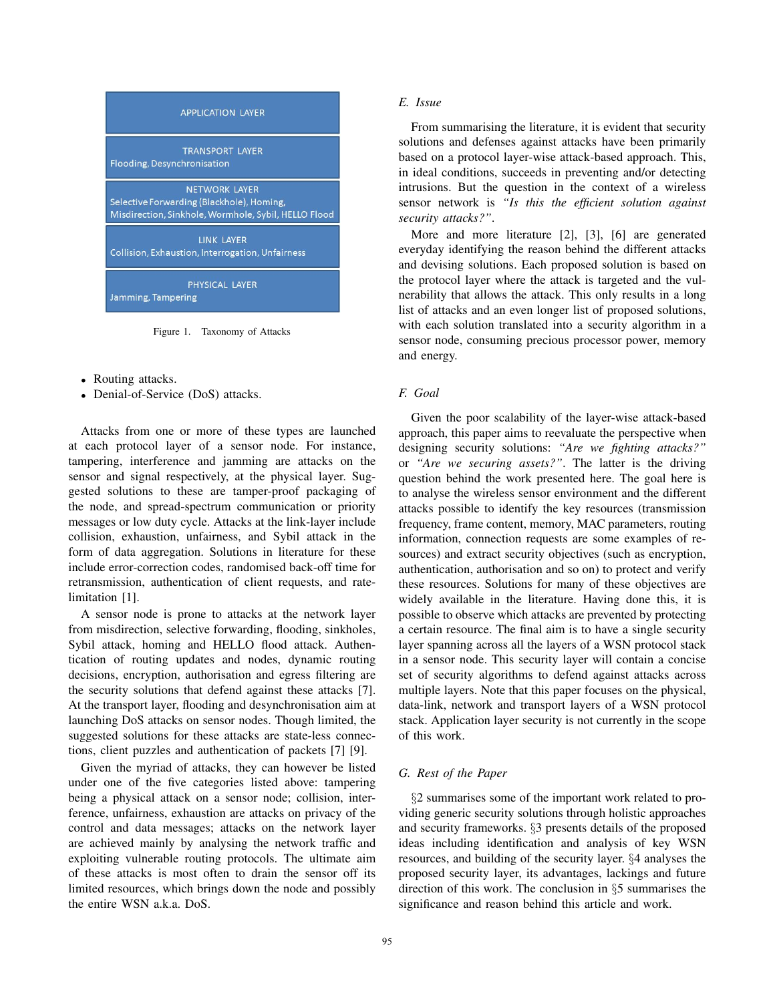

Figure 1. Taxonomy of Attacks

- Routing attacks.
- Denial-of-Service (DoS) attacks.

Attacks from one or more of these types are launched at each protocol layer of a sensor node. For instance, tampering, interference and jamming are attacks on the sensor and signal respectively, at the physical layer. Suggested solutions to these are tamper-proof packaging of the node, and spread-spectrum communication or priority messages or low duty cycle. Attacks at the link-layer include collision, exhaustion, unfairness, and Sybil attack in the form of data aggregation. Solutions in literature for these include error-correction codes, randomised back-off time for retransmission, authentication of client requests, and ratelimitation [1].

A sensor node is prone to attacks at the network layer from misdirection, selective forwarding, flooding, sinkholes, Sybil attack, homing and HELLO flood attack. Authentication of routing updates and nodes, dynamic routing decisions, encryption, authorisation and egress filtering are the security solutions that defend against these attacks [7]. At the transport layer, flooding and desynchronisation aim at launching DoS attacks on sensor nodes. Though limited, the suggested solutions for these attacks are state-less connections, client puzzles and authentication of packets [7] [9].

Given the myriad of attacks, they can however be listed under one of the five categories listed above: tampering being a physical attack on a sensor node; collision, interference, unfairness, exhaustion are attacks on privacy of the control and data messages; attacks on the network layer are achieved mainly by analysing the network traffic and exploiting vulnerable routing protocols. The ultimate aim of these attacks is most often to drain the sensor off its limited resources, which brings down the node and possibly the entire WSN a.k.a. DoS.

#### *E. Issue*

From summarising the literature, it is evident that security solutions and defenses against attacks have been primarily based on a protocol layer-wise attack-based approach. This, in ideal conditions, succeeds in preventing and/or detecting intrusions. But the question in the context of a wireless sensor network is *"Is this the efficient solution against security attacks?"*.

More and more literature [2], [3], [6] are generated everyday identifying the reason behind the different attacks and devising solutions. Each proposed solution is based on the protocol layer where the attack is targeted and the vulnerability that allows the attack. This only results in a long list of attacks and an even longer list of proposed solutions, with each solution translated into a security algorithm in a sensor node, consuming precious processor power, memory and energy.

#### *F. Goal*

Given the poor scalability of the layer-wise attack-based approach, this paper aims to reevaluate the perspective when designing security solutions: *"Are we fighting attacks?"* or *"Are we securing assets?"*. The latter is the driving question behind the work presented here. The goal here is to analyse the wireless sensor environment and the different attacks possible to identify the key resources (transmission frequency, frame content, memory, MAC parameters, routing information, connection requests are some examples of resources) and extract security objectives (such as encryption, authentication, authorisation and so on) to protect and verify these resources. Solutions for many of these objectives are widely available in the literature. Having done this, it is possible to observe which attacks are prevented by protecting a certain resource. The final aim is to have a single security layer spanning across all the layers of a WSN protocol stack in a sensor node. This security layer will contain a concise set of security algorithms to defend against attacks across multiple layers. Note that this paper focuses on the physical, data-link, network and transport layers of a WSN protocol stack. Application layer security is not currently in the scope of this work.

# *G. Rest of the Paper*

§2 summarises some of the important work related to providing generic security solutions through holistic approaches and security frameworks. §3 presents details of the proposed ideas including identification and analysis of key WSN resources, and building of the security layer. §4 analyses the proposed security layer, its advantages, lackings and future direction of this work. The conclusion in §5 summarises the significance and reason behind this article and work.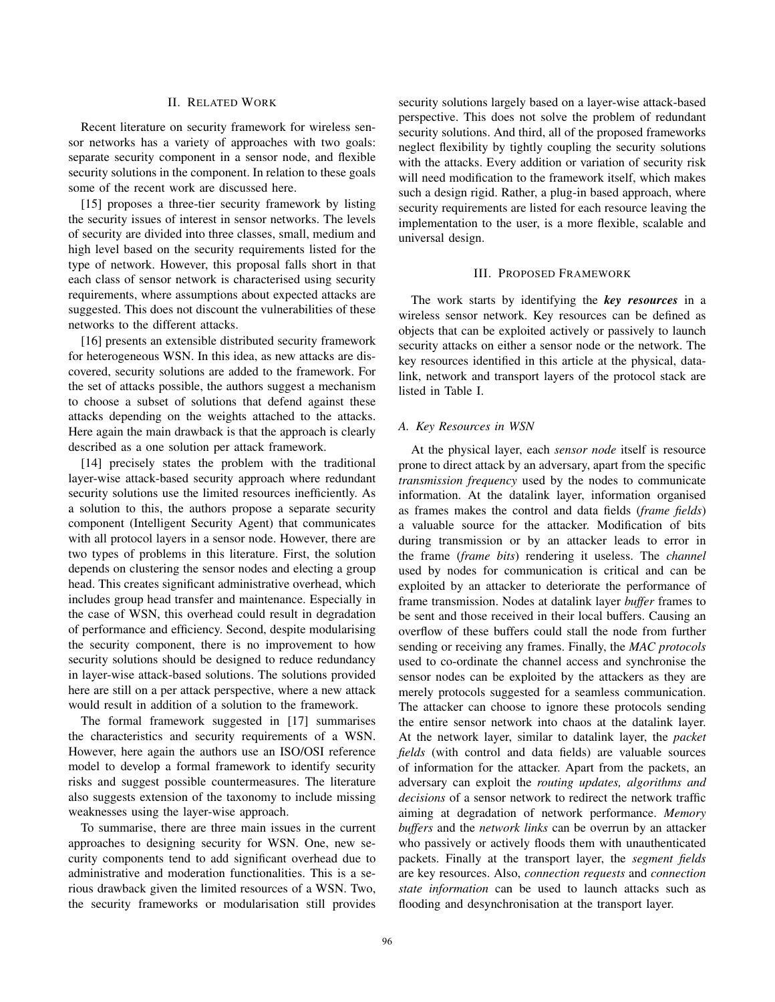## II. RELATED WORK

Recent literature on security framework for wireless sensor networks has a variety of approaches with two goals: separate security component in a sensor node, and flexible security solutions in the component. In relation to these goals some of the recent work are discussed here.

[15] proposes a three-tier security framework by listing the security issues of interest in sensor networks. The levels of security are divided into three classes, small, medium and high level based on the security requirements listed for the type of network. However, this proposal falls short in that each class of sensor network is characterised using security requirements, where assumptions about expected attacks are suggested. This does not discount the vulnerabilities of these networks to the different attacks.

[16] presents an extensible distributed security framework for heterogeneous WSN. In this idea, as new attacks are discovered, security solutions are added to the framework. For the set of attacks possible, the authors suggest a mechanism to choose a subset of solutions that defend against these attacks depending on the weights attached to the attacks. Here again the main drawback is that the approach is clearly described as a one solution per attack framework.

[14] precisely states the problem with the traditional layer-wise attack-based security approach where redundant security solutions use the limited resources inefficiently. As a solution to this, the authors propose a separate security component (Intelligent Security Agent) that communicates with all protocol layers in a sensor node. However, there are two types of problems in this literature. First, the solution depends on clustering the sensor nodes and electing a group head. This creates significant administrative overhead, which includes group head transfer and maintenance. Especially in the case of WSN, this overhead could result in degradation of performance and efficiency. Second, despite modularising the security component, there is no improvement to how security solutions should be designed to reduce redundancy in layer-wise attack-based solutions. The solutions provided here are still on a per attack perspective, where a new attack would result in addition of a solution to the framework.

The formal framework suggested in [17] summarises the characteristics and security requirements of a WSN. However, here again the authors use an ISO/OSI reference model to develop a formal framework to identify security risks and suggest possible countermeasures. The literature also suggests extension of the taxonomy to include missing weaknesses using the layer-wise approach.

To summarise, there are three main issues in the current approaches to designing security for WSN. One, new security components tend to add significant overhead due to administrative and moderation functionalities. This is a serious drawback given the limited resources of a WSN. Two, the security frameworks or modularisation still provides security solutions largely based on a layer-wise attack-based perspective. This does not solve the problem of redundant security solutions. And third, all of the proposed frameworks neglect flexibility by tightly coupling the security solutions with the attacks. Every addition or variation of security risk will need modification to the framework itself, which makes such a design rigid. Rather, a plug-in based approach, where security requirements are listed for each resource leaving the implementation to the user, is a more flexible, scalable and universal design.

#### III. PROPOSED FRAMEWORK

The work starts by identifying the *key resources* in a wireless sensor network. Key resources can be defined as objects that can be exploited actively or passively to launch security attacks on either a sensor node or the network. The key resources identified in this article at the physical, datalink, network and transport layers of the protocol stack are listed in Table I.

## *A. Key Resources in WSN*

At the physical layer, each *sensor node* itself is resource prone to direct attack by an adversary, apart from the specific *transmission frequency* used by the nodes to communicate information. At the datalink layer, information organised as frames makes the control and data fields (*frame fields*) a valuable source for the attacker. Modification of bits during transmission or by an attacker leads to error in the frame (*frame bits*) rendering it useless. The *channel* used by nodes for communication is critical and can be exploited by an attacker to deteriorate the performance of frame transmission. Nodes at datalink layer *buffer* frames to be sent and those received in their local buffers. Causing an overflow of these buffers could stall the node from further sending or receiving any frames. Finally, the *MAC protocols* used to co-ordinate the channel access and synchronise the sensor nodes can be exploited by the attackers as they are merely protocols suggested for a seamless communication. The attacker can choose to ignore these protocols sending the entire sensor network into chaos at the datalink layer. At the network layer, similar to datalink layer, the *packet fields* (with control and data fields) are valuable sources of information for the attacker. Apart from the packets, an adversary can exploit the *routing updates, algorithms and decisions* of a sensor network to redirect the network traffic aiming at degradation of network performance. *Memory buffers* and the *network links* can be overrun by an attacker who passively or actively floods them with unauthenticated packets. Finally at the transport layer, the *segment fields* are key resources. Also, *connection requests* and *connection state information* can be used to launch attacks such as flooding and desynchronisation at the transport layer.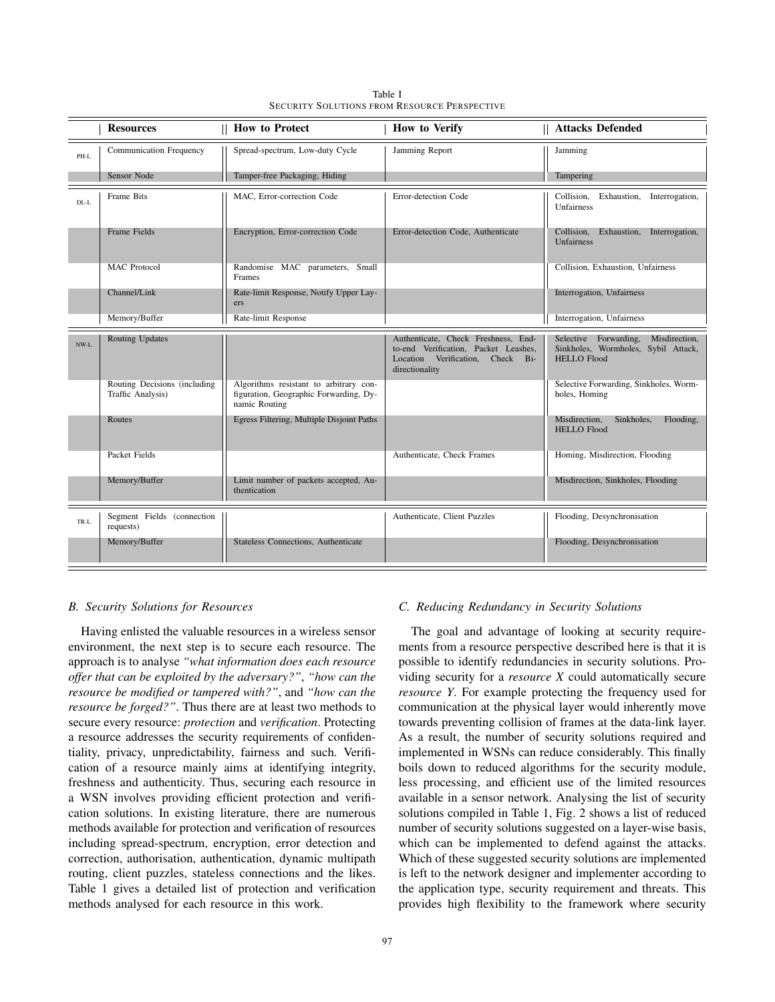|        | <b>Resources</b>                                  | <b>How to Protect</b>                                                                             | <b>How to Verify</b>                                                                                                                 | <b>Attacks Defended</b>                                                                      |
|--------|---------------------------------------------------|---------------------------------------------------------------------------------------------------|--------------------------------------------------------------------------------------------------------------------------------------|----------------------------------------------------------------------------------------------|
| PH-L   | Communication Frequency                           | Spread-spectrum, Low-duty Cycle                                                                   | Jamming Report                                                                                                                       | Jamming                                                                                      |
|        | Sensor Node                                       | Tamper-free Packaging, Hiding                                                                     |                                                                                                                                      | Tampering                                                                                    |
| $DL-L$ | Frame Bits                                        | MAC, Error-correction Code                                                                        | Error-detection Code                                                                                                                 | Collision, Exhaustion, Interrogation,<br>Unfairness                                          |
|        | <b>Frame Fields</b>                               | Encryption, Error-correction Code                                                                 | Error-detection Code, Authenticate                                                                                                   | Collision, Exhaustion, Interrogation,<br><b>Unfairness</b>                                   |
|        | <b>MAC</b> Protocol                               | Randomise MAC parameters, Small<br>Frames                                                         |                                                                                                                                      | Collision, Exhaustion, Unfairness                                                            |
|        | Channel/Link                                      | Rate-limit Response, Notify Upper Lay-<br>ers                                                     |                                                                                                                                      | Interrogation, Unfairness                                                                    |
|        | Memory/Buffer                                     | Rate-limit Response                                                                               |                                                                                                                                      | Interrogation, Unfairness                                                                    |
| NW-L   | <b>Routing Updates</b>                            |                                                                                                   | Authenticate, Check Freshness, End-<br>to-end Verification, Packet Leashes,<br>Location<br>Verification, Check Bi-<br>directionality | Selective Forwarding,<br>Misdirection,<br>Sinkholes, Wormholes, Sybil Attack,<br>HELLO Flood |
|        | Routing Decisions (including<br>Traffic Analysis) | Algorithms resistant to arbitrary con-<br>figuration, Geographic Forwarding, Dy-<br>namic Routing |                                                                                                                                      | Selective Forwarding, Sinkholes, Worm-<br>holes, Homing                                      |
|        | Routes                                            | Egress Filtering, Multiple Disjoint Paths                                                         |                                                                                                                                      | Misdirection,<br>Sinkholes,<br>Flooding,<br><b>HELLO Flood</b>                               |
|        | Packet Fields                                     |                                                                                                   | Authenticate, Check Frames                                                                                                           | Homing, Misdirection, Flooding                                                               |
|        | Memory/Buffer                                     | Limit number of packets accepted, Au-<br>thentication                                             |                                                                                                                                      | Misdirection, Sinkholes, Flooding                                                            |
| TR-L   | Segment Fields (connection<br>requests)           |                                                                                                   | Authenticate, Client Puzzles                                                                                                         | Flooding, Desynchronisation                                                                  |
|        | Memory/Buffer                                     | Stateless Connections, Authenticate                                                               |                                                                                                                                      | Flooding, Desynchronisation                                                                  |

Table I SECURITY SOLUTIONS FROM RESOURCE PERSPECTIVE

## *B. Security Solutions for Resources*

Having enlisted the valuable resources in a wireless sensor environment, the next step is to secure each resource. The approach is to analyse *"what information does each resource offer that can be exploited by the adversary?"*, *"how can the resource be modified or tampered with?"*, and *"how can the resource be forged?"*. Thus there are at least two methods to secure every resource: *protection* and *verification*. Protecting a resource addresses the security requirements of confidentiality, privacy, unpredictability, fairness and such. Verification of a resource mainly aims at identifying integrity, freshness and authenticity. Thus, securing each resource in a WSN involves providing efficient protection and verification solutions. In existing literature, there are numerous methods available for protection and verification of resources including spread-spectrum, encryption, error detection and correction, authorisation, authentication, dynamic multipath routing, client puzzles, stateless connections and the likes. Table 1 gives a detailed list of protection and verification methods analysed for each resource in this work.

## *C. Reducing Redundancy in Security Solutions*

The goal and advantage of looking at security requirements from a resource perspective described here is that it is possible to identify redundancies in security solutions. Providing security for a *resource X* could automatically secure *resource Y*. For example protecting the frequency used for communication at the physical layer would inherently move towards preventing collision of frames at the data-link layer. As a result, the number of security solutions required and implemented in WSNs can reduce considerably. This finally boils down to reduced algorithms for the security module, less processing, and efficient use of the limited resources available in a sensor network. Analysing the list of security solutions compiled in Table 1, Fig. 2 shows a list of reduced number of security solutions suggested on a layer-wise basis, which can be implemented to defend against the attacks. Which of these suggested security solutions are implemented is left to the network designer and implementer according to the application type, security requirement and threats. This provides high flexibility to the framework where security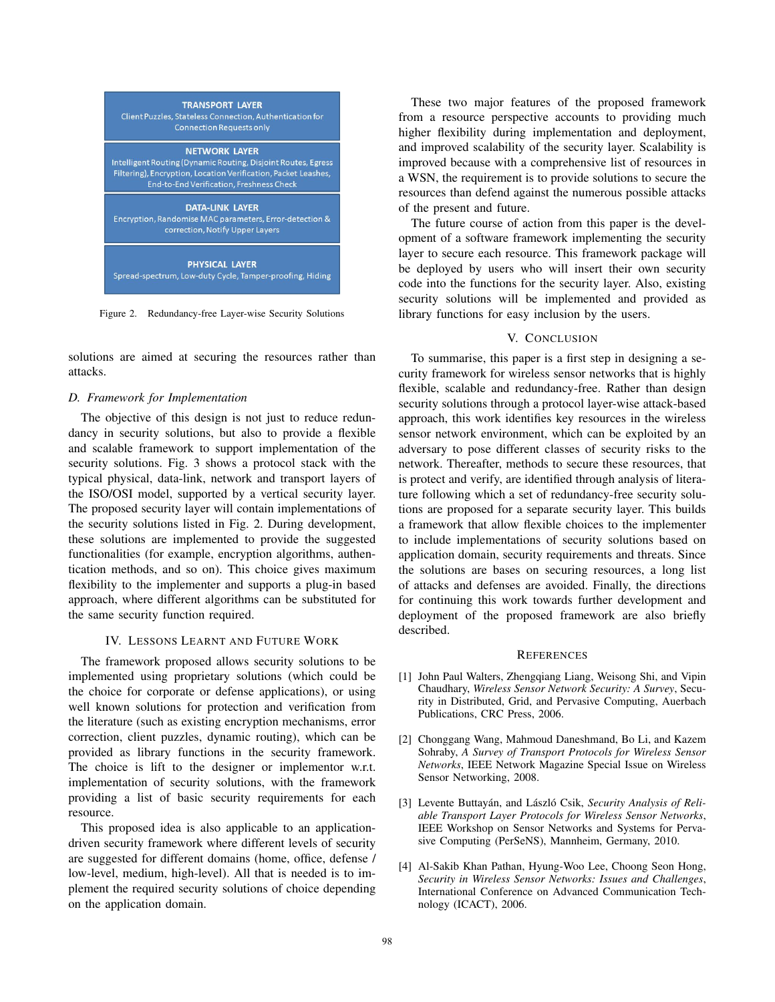

Figure 2. Redundancy-free Layer-wise Security Solutions

solutions are aimed at securing the resources rather than attacks.

# *D. Framework for Implementation*

The objective of this design is not just to reduce redundancy in security solutions, but also to provide a flexible and scalable framework to support implementation of the security solutions. Fig. 3 shows a protocol stack with the typical physical, data-link, network and transport layers of the ISO/OSI model, supported by a vertical security layer. The proposed security layer will contain implementations of the security solutions listed in Fig. 2. During development, these solutions are implemented to provide the suggested functionalities (for example, encryption algorithms, authentication methods, and so on). This choice gives maximum flexibility to the implementer and supports a plug-in based approach, where different algorithms can be substituted for the same security function required.

## IV. LESSONS LEARNT AND FUTURE WORK

The framework proposed allows security solutions to be implemented using proprietary solutions (which could be the choice for corporate or defense applications), or using well known solutions for protection and verification from the literature (such as existing encryption mechanisms, error correction, client puzzles, dynamic routing), which can be provided as library functions in the security framework. The choice is lift to the designer or implementor w.r.t. implementation of security solutions, with the framework providing a list of basic security requirements for each resource.

This proposed idea is also applicable to an applicationdriven security framework where different levels of security are suggested for different domains (home, office, defense / low-level, medium, high-level). All that is needed is to implement the required security solutions of choice depending on the application domain.

These two major features of the proposed framework from a resource perspective accounts to providing much higher flexibility during implementation and deployment, and improved scalability of the security layer. Scalability is improved because with a comprehensive list of resources in a WSN, the requirement is to provide solutions to secure the resources than defend against the numerous possible attacks of the present and future.

The future course of action from this paper is the development of a software framework implementing the security layer to secure each resource. This framework package will be deployed by users who will insert their own security code into the functions for the security layer. Also, existing security solutions will be implemented and provided as library functions for easy inclusion by the users.

# V. CONCLUSION

To summarise, this paper is a first step in designing a security framework for wireless sensor networks that is highly flexible, scalable and redundancy-free. Rather than design security solutions through a protocol layer-wise attack-based approach, this work identifies key resources in the wireless sensor network environment, which can be exploited by an adversary to pose different classes of security risks to the network. Thereafter, methods to secure these resources, that is protect and verify, are identified through analysis of literature following which a set of redundancy-free security solutions are proposed for a separate security layer. This builds a framework that allow flexible choices to the implementer to include implementations of security solutions based on application domain, security requirements and threats. Since the solutions are bases on securing resources, a long list of attacks and defenses are avoided. Finally, the directions for continuing this work towards further development and deployment of the proposed framework are also briefly described.

#### **REFERENCES**

- [1] John Paul Walters, Zhengqiang Liang, Weisong Shi, and Vipin Chaudhary, *Wireless Sensor Network Security: A Survey*, Security in Distributed, Grid, and Pervasive Computing, Auerbach Publications, CRC Press, 2006.
- [2] Chonggang Wang, Mahmoud Daneshmand, Bo Li, and Kazem Sohraby, *A Survey of Transport Protocols for Wireless Sensor Networks*, IEEE Network Magazine Special Issue on Wireless Sensor Networking, 2008.
- [3] Levente Buttayán, and László Csik, Security Analysis of Reli*able Transport Layer Protocols for Wireless Sensor Networks*, IEEE Workshop on Sensor Networks and Systems for Pervasive Computing (PerSeNS), Mannheim, Germany, 2010.
- [4] Al-Sakib Khan Pathan, Hyung-Woo Lee, Choong Seon Hong, *Security in Wireless Sensor Networks: Issues and Challenges*, International Conference on Advanced Communication Technology (ICACT), 2006.